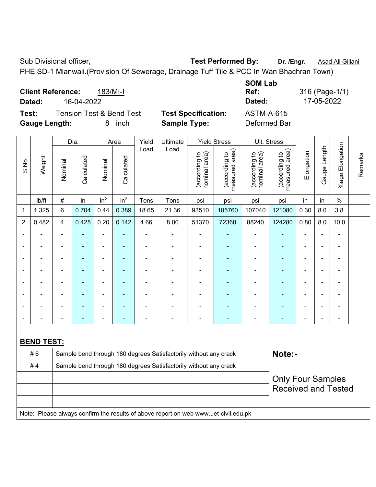Sub Divisional officer, **Test Performed By:** Dr. /Engr. **Asad Ali Gillani Sub Divisional officer,** 

PHE SD-1 Mianwali.(Provision Of Sewerage, Drainage Tuff Tile & PCC In Wan Bhachran Town)

| <b>Client Reference:</b><br>$183/Ml-l$<br>16-04-2022<br>Dated:                           |                                                   | <b>SOM Lab</b><br>Ref:<br>Dated:  | 316 (Page-1/1)<br>17-05-2022 |
|------------------------------------------------------------------------------------------|---------------------------------------------------|-----------------------------------|------------------------------|
| <b>Tension Test &amp; Bend Test</b><br>Test:<br><b>Gauge Length:</b><br><i>inch</i><br>8 | <b>Test Specification:</b><br><b>Sample Type:</b> | <b>ASTM-A-615</b><br>Deformed Bar |                              |

|                |                                                                                     |                          | Dia.       |                 | Area                     | Yield          | Ultimate                                                         |                                | <b>Yield Stress</b>             |                                | Ult. Stress                     |                          |                |                           |         |
|----------------|-------------------------------------------------------------------------------------|--------------------------|------------|-----------------|--------------------------|----------------|------------------------------------------------------------------|--------------------------------|---------------------------------|--------------------------------|---------------------------------|--------------------------|----------------|---------------------------|---------|
| S.No.          | Weight                                                                              | Nominal                  | Calculated | Nominal         | Calculated               | Load           | Load                                                             | nominal area)<br>(according to | measured area)<br>(according to | nominal area)<br>(according to | (according to<br>measured area) | Elongation               | Gauge Length   | Elongation<br>$%$ age $ $ | Remarks |
|                | lb/ft                                                                               | $\#$                     | in         | in <sup>2</sup> | in <sup>2</sup>          | Tons           | Tons                                                             | psi                            | psi                             | psi                            | psi                             | in                       | in             | $\%$                      |         |
| 1              | 1.325                                                                               | 6                        | 0.704      | 0.44            | 0.389                    | 18.65          | 21.36                                                            | 93510                          | 105760                          | 107040                         | 121080                          | 0.30                     | 8.0            | 3.8                       |         |
| $\overline{2}$ | 0.482                                                                               | 4                        | 0.425      | 0.20            | 0.142                    | 4.66           | 8.00                                                             | 51370                          | 72360                           | 88240                          | 124280                          | 0.80                     | 8.0            | 10.0                      |         |
| $\blacksquare$ |                                                                                     | ٠                        | ÷          | $\blacksquare$  |                          | $\blacksquare$ | $\frac{1}{2}$                                                    | $\blacksquare$                 |                                 | $\overline{a}$                 | $\blacksquare$                  |                          | $\blacksquare$ | $\blacksquare$            |         |
|                | ۰                                                                                   | $\blacksquare$           | ÷,         | $\blacksquare$  | ÷                        | $\blacksquare$ | ÷                                                                | $\blacksquare$                 | ÷                               | $\blacksquare$                 | $\blacksquare$                  | $\blacksquare$           | $\blacksquare$ | $\blacksquare$            |         |
| $\blacksquare$ |                                                                                     | $\blacksquare$           | ÷,         | $\blacksquare$  | ÷                        | $\blacksquare$ | $\frac{1}{2}$                                                    | $\blacksquare$                 | ÷                               | $\blacksquare$                 | $\blacksquare$                  |                          | $\blacksquare$ | $\blacksquare$            |         |
| $\blacksquare$ |                                                                                     | ÷,                       | ÷,         | $\blacksquare$  | $\overline{\phantom{0}}$ | ÷              | ÷                                                                |                                | $\blacksquare$                  | $\blacksquare$                 | $\blacksquare$                  | $\blacksquare$           | $\blacksquare$ | L,                        |         |
|                |                                                                                     | $\blacksquare$           | ÷,         | $\blacksquare$  | $\blacksquare$           | $\blacksquare$ | ÷.                                                               | $\blacksquare$                 | $\blacksquare$                  | L,                             | $\blacksquare$                  | ä,                       | $\blacksquare$ | ä,                        |         |
|                |                                                                                     |                          |            |                 |                          |                |                                                                  |                                |                                 |                                |                                 |                          |                | $\blacksquare$            |         |
|                |                                                                                     |                          |            |                 |                          |                |                                                                  |                                |                                 |                                |                                 |                          |                |                           |         |
|                |                                                                                     | $\overline{\phantom{0}}$ | ۰          | $\blacksquare$  | ٠                        |                | ÷                                                                | $\blacksquare$                 | ٠                               | ÷                              | $\overline{a}$                  | $\overline{\phantom{0}}$ | $\blacksquare$ | $\blacksquare$            |         |
|                |                                                                                     |                          |            |                 |                          |                |                                                                  |                                |                                 |                                |                                 |                          |                |                           |         |
|                | <b>BEND TEST:</b>                                                                   |                          |            |                 |                          |                |                                                                  |                                |                                 |                                |                                 |                          |                |                           |         |
|                | #6                                                                                  |                          |            |                 |                          |                | Sample bend through 180 degrees Satisfactorily without any crack |                                |                                 |                                | Note:-                          |                          |                |                           |         |
|                | #4                                                                                  |                          |            |                 |                          |                | Sample bend through 180 degrees Satisfactorily without any crack |                                |                                 |                                |                                 |                          |                |                           |         |
|                |                                                                                     |                          |            |                 |                          |                |                                                                  |                                |                                 |                                | <b>Only Four Samples</b>        |                          |                |                           |         |
|                |                                                                                     |                          |            |                 |                          |                |                                                                  |                                |                                 |                                | <b>Received and Tested</b>      |                          |                |                           |         |
|                |                                                                                     |                          |            |                 |                          |                |                                                                  |                                |                                 |                                |                                 |                          |                |                           |         |
|                | Note: Please always confirm the results of above report on web www.uet-civil.edu.pk |                          |            |                 |                          |                |                                                                  |                                |                                 |                                |                                 |                          |                |                           |         |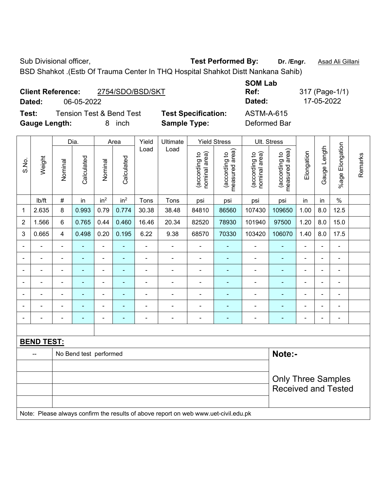BSD Shahkot .(Estb Of Trauma Center In THQ Hospital Shahkot Distt Nankana Sahib)

|        | <b>Client Reference:</b> | 2754/SDO/BSD/SKT                    |               |
|--------|--------------------------|-------------------------------------|---------------|
| Dated: | 06-05-2022               |                                     |               |
| Test:  |                          | <b>Tension Test &amp; Bend Test</b> | <b>Test S</b> |

**Tecification:** ASTM-A-615

**SOM Lab Dated:** 06-05-2022 **Dated:** 17-05-2022

**Ref:** 317 (Page-1/1)

**Gauge Length:** 8 inch **Sample Type:** Deformed Bar

|                |                                                                                     |                           | Dia.                   |                 | Area                                                                                                            | Yield          | Ultimate                 |                                | <b>Yield Stress</b>                | Ult. Stress                    |                                 |                |                |                         |         |
|----------------|-------------------------------------------------------------------------------------|---------------------------|------------------------|-----------------|-----------------------------------------------------------------------------------------------------------------|----------------|--------------------------|--------------------------------|------------------------------------|--------------------------------|---------------------------------|----------------|----------------|-------------------------|---------|
| S.No.          | Weight                                                                              | Nominal                   | Calculated             | Nominal         | Calculated                                                                                                      | Load           | Load                     | (according to<br>nominal area) | area)<br>(according to<br>measured | nominal area)<br>(according to | measured area)<br>(according to | Elongation     | Gauge Length   | Elongation<br>$%$ age I | Remarks |
|                | lb/ft                                                                               | $\#$                      | in                     | in <sup>2</sup> | in <sup>2</sup>                                                                                                 | Tons           | Tons                     | psi                            | psi                                | psi                            | psi                             | in             | in             | $\%$                    |         |
| 1              | 2.635                                                                               | 8                         | 0.993                  | 0.79            | 0.774                                                                                                           | 30.38          | 38.48                    | 84810                          | 86560                              | 107430                         | 109650                          | 1.00           | 8.0            | 12.5                    |         |
| $\overline{2}$ | 1.566                                                                               | 6                         | 0.765                  | 0.44            | 0.460                                                                                                           | 16.46          | 20.34                    | 82520                          | 78930                              | 101940                         | 97500                           | 1.20           | 8.0            | 15.0                    |         |
| 3              | 0.665                                                                               | 4                         | 0.498                  | 0.20            | 0.195                                                                                                           | 6.22           | 9.38                     | 68570                          | 70330                              | 103420                         | 106070                          | 1.40           | 8.0            | 17.5                    |         |
| $\blacksquare$ |                                                                                     | $\blacksquare$            | ä,                     | $\blacksquare$  | $\blacksquare$                                                                                                  | ä,             | $\frac{1}{2}$            | $\blacksquare$                 | $\overline{\phantom{a}}$           | $\blacksquare$                 | $\blacksquare$                  | ä,             | ä,             | L,                      |         |
|                |                                                                                     | $\overline{\phantom{a}}$  |                        | $\overline{a}$  |                                                                                                                 |                | $\blacksquare$           |                                |                                    | ä,                             | $\blacksquare$                  |                |                | $\blacksquare$          |         |
|                |                                                                                     |                           |                        | $\blacksquare$  |                                                                                                                 |                | $\blacksquare$           |                                |                                    | $\overline{\phantom{a}}$       |                                 | $\blacksquare$ | $\blacksquare$ | $\blacksquare$          |         |
| $\blacksquare$ |                                                                                     | $\blacksquare$            | $\blacksquare$         | $\blacksquare$  | $\blacksquare$<br>$\blacksquare$<br>÷<br>۰<br>$\blacksquare$<br>$\blacksquare$<br>٠<br>$\overline{\phantom{0}}$ |                |                          |                                |                                    |                                |                                 |                | $\blacksquare$ |                         |         |
| $\blacksquare$ |                                                                                     | $\blacksquare$            | ä,                     | ÷,              | $\blacksquare$                                                                                                  | $\blacksquare$ | $\blacksquare$           | ä,                             | $\blacksquare$                     | $\blacksquare$                 | $\blacksquare$                  | $\blacksquare$ | $\blacksquare$ | $\blacksquare$          |         |
| $\blacksquare$ |                                                                                     | ä,                        | $\blacksquare$         | $\blacksquare$  | $\blacksquare$                                                                                                  | Ē,             | $\blacksquare$           | ä,                             | $\blacksquare$                     | $\blacksquare$                 | ۰                               | $\blacksquare$ | $\blacksquare$ | ä,                      |         |
| ä,             |                                                                                     | $\blacksquare$            | $\blacksquare$         | $\blacksquare$  | ×,                                                                                                              | $\blacksquare$ | $\overline{\phantom{a}}$ | $\blacksquare$                 | $\blacksquare$                     | $\blacksquare$                 | ÷,                              | $\blacksquare$ | $\blacksquare$ | $\blacksquare$          |         |
|                |                                                                                     |                           |                        |                 |                                                                                                                 |                |                          |                                |                                    |                                |                                 |                |                |                         |         |
|                | <b>BEND TEST:</b>                                                                   |                           |                        |                 |                                                                                                                 |                |                          |                                |                                    |                                |                                 |                |                |                         |         |
|                | $\mathbf{u}$                                                                        |                           | No Bend test performed |                 |                                                                                                                 |                |                          |                                |                                    |                                | Note:-                          |                |                |                         |         |
|                |                                                                                     |                           |                        |                 |                                                                                                                 |                |                          |                                |                                    |                                |                                 |                |                |                         |         |
|                |                                                                                     | <b>Only Three Samples</b> |                        |                 |                                                                                                                 |                |                          |                                |                                    |                                |                                 |                |                |                         |         |
|                |                                                                                     |                           |                        |                 |                                                                                                                 |                |                          |                                |                                    |                                | <b>Received and Tested</b>      |                |                |                         |         |
|                |                                                                                     |                           |                        |                 |                                                                                                                 |                |                          |                                |                                    |                                |                                 |                |                |                         |         |
|                | Note: Please always confirm the results of above report on web www.uet-civil.edu.pk |                           |                        |                 |                                                                                                                 |                |                          |                                |                                    |                                |                                 |                |                |                         |         |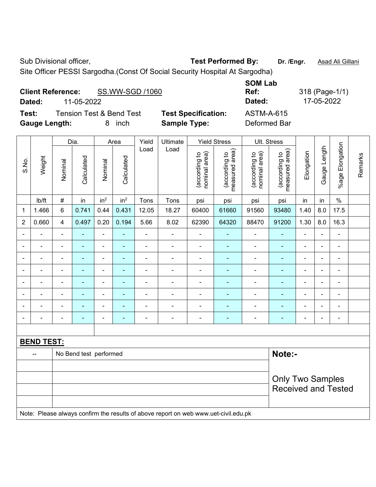Site Officer PESSI Sargodha.(Const Of Social Security Hospital At Sargodha)

| <b>Client Reference:</b> |            | SS.WW-SGD /1060                     |                            | UVIII LUM<br>Ref: |
|--------------------------|------------|-------------------------------------|----------------------------|-------------------|
| Dated:                   | 11-05-2022 |                                     |                            | Dated:            |
| Test:                    |            | <b>Tension Test &amp; Bend Test</b> | <b>Test Specification:</b> | <b>ASTM-A-615</b> |
| <b>Gauge Length:</b>     |            | inch<br>8                           | <b>Sample Type:</b>        | Deformed Bar      |

|                              |                   |                         | Dia.                   |                              | Area                     | Yield          | Ultimate                                                                            |                                | <b>Yield Stress</b>             | Ult. Stress                    |                                 |                              |                          |                 |         |
|------------------------------|-------------------|-------------------------|------------------------|------------------------------|--------------------------|----------------|-------------------------------------------------------------------------------------|--------------------------------|---------------------------------|--------------------------------|---------------------------------|------------------------------|--------------------------|-----------------|---------|
| S.No.                        | Weight            | Nominal                 | Calculated             | Nominal                      | Calculated               | Load           | Load                                                                                | (according to<br>nominal area) | (according to<br>measured area) | (according to<br>nominal area) | measured area)<br>(according to | Elongation                   | Gauge Length             | %age Elongation | Remarks |
|                              | Ib/ft             | $\#$                    | in                     | in <sup>2</sup>              | in <sup>2</sup>          | Tons           | Tons                                                                                | psi                            | psi                             | psi                            | psi                             | in                           | in                       | $\%$            |         |
| $\mathbf 1$                  | 1.466             | $\,6$                   | 0.741                  | 0.44                         | 0.431                    | 12.05          | 18.27                                                                               | 60400                          | 61660                           | 91560                          | 93480                           | 1.40                         | 8.0                      | 17.5            |         |
| $\overline{2}$               | 0.660             | $\overline{4}$          | 0.497                  | 0.20                         | 0.194                    | 5.66           | 8.02                                                                                | 62390                          | 64320                           | 88470                          | 91200                           | 1.30                         | 8.0                      | 16.3            |         |
|                              |                   | $\blacksquare$          |                        | $\blacksquare$               |                          | ÷              |                                                                                     |                                |                                 | ÷                              |                                 | $\blacksquare$               |                          | L,              |         |
| $\blacksquare$               |                   | $\overline{a}$          | ä,                     | $\qquad \qquad \blacksquare$ | $\overline{\phantom{0}}$ | $\blacksquare$ | $\overline{\phantom{a}}$                                                            | $\overline{\phantom{a}}$       | $\overline{\phantom{a}}$        | ÷                              | $\blacksquare$                  | $\qquad \qquad \blacksquare$ | $\overline{\phantom{0}}$ |                 |         |
| $\qquad \qquad \blacksquare$ |                   | ä,                      | ÷,                     | $\overline{\phantom{a}}$     | $\blacksquare$           | $\overline{a}$ | $\blacksquare$                                                                      | $\blacksquare$                 | $\blacksquare$                  | ä,                             | $\blacksquare$                  | $\blacksquare$               | $\blacksquare$           | $\blacksquare$  |         |
| $\blacksquare$               |                   | $\blacksquare$          | ÷                      | $\qquad \qquad \blacksquare$ | ٠                        | ä,             | ÷.                                                                                  | $\blacksquare$                 | $\blacksquare$                  | ÷,                             | $\blacksquare$                  | $\blacksquare$               | $\blacksquare$           | $\blacksquare$  |         |
| $\blacksquare$               |                   | $\blacksquare$          | ä,                     | $\blacksquare$               | $\overline{\phantom{0}}$ | ä,             | ÷.                                                                                  | $\blacksquare$                 | $\blacksquare$                  | ÷,                             | $\blacksquare$                  | $\blacksquare$               |                          | $\blacksquare$  |         |
|                              |                   | $\blacksquare$          | ÷                      | $\blacksquare$               |                          | ÷              |                                                                                     |                                |                                 | ÷                              |                                 |                              |                          | ä,              |         |
|                              |                   |                         |                        | $\blacksquare$               |                          |                |                                                                                     |                                |                                 |                                |                                 |                              |                          |                 |         |
| $\blacksquare$               |                   | $\overline{a}$          | ۰                      | ۰                            | $\overline{\phantom{0}}$ | $\blacksquare$ | $\overline{\phantom{a}}$                                                            | $\blacksquare$                 | $\overline{\phantom{a}}$        | ÷                              | -                               | $\overline{a}$               | $\overline{a}$           | $\blacksquare$  |         |
|                              |                   |                         |                        |                              |                          |                |                                                                                     |                                |                                 |                                |                                 |                              |                          |                 |         |
|                              | <b>BEND TEST:</b> |                         |                        |                              |                          |                |                                                                                     |                                |                                 |                                |                                 |                              |                          |                 |         |
|                              | $\overline{a}$    |                         | No Bend test performed |                              |                          |                |                                                                                     |                                |                                 |                                | Note:-                          |                              |                          |                 |         |
|                              |                   |                         |                        |                              |                          |                |                                                                                     |                                |                                 |                                |                                 |                              |                          |                 |         |
|                              |                   | <b>Only Two Samples</b> |                        |                              |                          |                |                                                                                     |                                |                                 |                                |                                 |                              |                          |                 |         |
|                              |                   |                         |                        |                              |                          |                |                                                                                     |                                |                                 |                                | <b>Received and Tested</b>      |                              |                          |                 |         |
|                              |                   |                         |                        |                              |                          |                |                                                                                     |                                |                                 |                                |                                 |                              |                          |                 |         |
|                              |                   |                         |                        |                              |                          |                | Note: Please always confirm the results of above report on web www.uet-civil.edu.pk |                                |                                 |                                |                                 |                              |                          |                 |         |

**SOM Lab Ref:** 318 (Page-1/1) **Dated:** 11-05-2022 **Dated:** 17-05-2022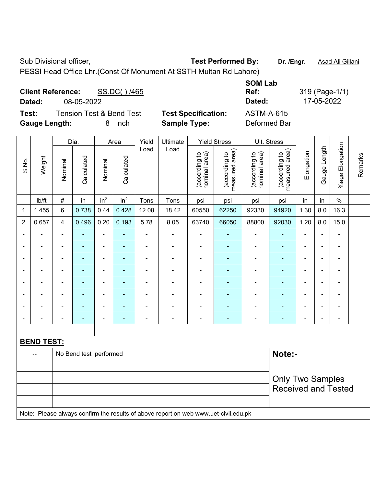PESSI Head Office Lhr.(Const Of Monument At SSTH Multan Rd Lahore)

| <b>Client Reference:</b><br>SS.DC()/465<br>Dated:<br>08-05-2022 |                            | <b>SOM Lab</b><br>Ref:<br>Dated: | 319 (Page-1/1)<br>17-05-2022 |
|-----------------------------------------------------------------|----------------------------|----------------------------------|------------------------------|
| <b>Tension Test &amp; Bend Test</b><br>Test:                    | <b>Test Specification:</b> | <b>ASTM-A-615</b>                |                              |
| <b>Gauge Length:</b><br>inch<br>8.                              | <b>Sample Type:</b>        | Deformed Bar                     |                              |

|                |                                                                                     |                         | Dia.                   |                              | Area            | Yield          | Ultimate       |                                | <b>Yield Stress</b>             |                                | Ult. Stress                     |                          |                |                 |         |
|----------------|-------------------------------------------------------------------------------------|-------------------------|------------------------|------------------------------|-----------------|----------------|----------------|--------------------------------|---------------------------------|--------------------------------|---------------------------------|--------------------------|----------------|-----------------|---------|
| S.No.          | Weight                                                                              | Nominal                 | Calculated             | Nominal                      | Calculated      | Load           | Load           | nominal area)<br>(according to | measured area)<br>(according to | nominal area)<br>(according to | (according to<br>measured area) | Elongation               | Gauge Length   | %age Elongation | Remarks |
|                | lb/ft                                                                               | $\#$                    | in                     | in <sup>2</sup>              | in <sup>2</sup> | Tons           | Tons           | psi                            | psi                             | psi                            | psi                             | in                       | in             | $\%$            |         |
| 1              | 1.455                                                                               | $6\phantom{1}$          | 0.738                  | 0.44                         | 0.428           | 12.08          | 18.42          | 60550                          | 62250                           | 92330                          | 94920                           | 1.30                     | 8.0            | 16.3            |         |
| $\overline{2}$ | 0.657                                                                               | $\overline{\mathbf{4}}$ | 0.496                  | 0.20                         | 0.193           | 5.78           | 8.05           | 63740                          | 66050                           | 88800                          | 92030                           | 1.20                     | 8.0            | 15.0            |         |
|                |                                                                                     |                         |                        | ä,                           |                 | L.             | $\blacksquare$ | ä,                             |                                 | ä,                             | ä,                              | $\blacksquare$           | $\blacksquare$ | ä,              |         |
| $\blacksquare$ | ÷                                                                                   | $\blacksquare$          | $\blacksquare$         | $\qquad \qquad \blacksquare$ | ÷               | $\blacksquare$ | $\frac{1}{2}$  | $\blacksquare$                 | $\overline{\phantom{a}}$        | $\blacksquare$                 | $\blacksquare$                  | $\blacksquare$           | $\blacksquare$ | ÷               |         |
| $\blacksquare$ | $\blacksquare$                                                                      | $\blacksquare$          | $\blacksquare$         | $\blacksquare$               | $\blacksquare$  | $\blacksquare$ | $\frac{1}{2}$  | $\blacksquare$                 | $\blacksquare$                  | $\blacksquare$                 | $\blacksquare$                  | $\blacksquare$           | $\overline{a}$ | ÷,              |         |
| $\blacksquare$ | ÷                                                                                   | $\overline{a}$          | $\blacksquare$         | $\blacksquare$               | ÷               | $\blacksquare$ | -              | $\overline{\phantom{a}}$       | $\blacksquare$                  | $\blacksquare$                 | $\blacksquare$                  | $\overline{\phantom{a}}$ | $\blacksquare$ | $\blacksquare$  |         |
| $\blacksquare$ | $\overline{a}$                                                                      | $\blacksquare$          | $\blacksquare$         | $\blacksquare$               | $\blacksquare$  | ä,             | $\blacksquare$ | $\blacksquare$                 | $\blacksquare$                  | $\blacksquare$                 | $\blacksquare$                  | $\blacksquare$           | $\blacksquare$ | ä,              |         |
|                | ÷                                                                                   |                         | ÷                      | $\blacksquare$               | ٠               | $\blacksquare$ | $\blacksquare$ | $\blacksquare$                 |                                 | $\blacksquare$                 | $\blacksquare$                  |                          | $\blacksquare$ | $\blacksquare$  |         |
|                |                                                                                     |                         | $\blacksquare$         | $\blacksquare$               |                 |                | $\blacksquare$ |                                |                                 | $\overline{a}$                 | $\blacksquare$                  |                          | ٠              |                 |         |
|                |                                                                                     |                         | ÷                      |                              | ÷               | Ē,             | ÷              | $\blacksquare$                 |                                 | -                              | ÷,                              |                          | ÷,             | ÷,              |         |
|                |                                                                                     |                         |                        |                              |                 |                |                |                                |                                 |                                |                                 |                          |                |                 |         |
|                | <b>BEND TEST:</b>                                                                   |                         |                        |                              |                 |                |                |                                |                                 |                                |                                 |                          |                |                 |         |
|                |                                                                                     |                         | No Bend test performed |                              |                 |                |                |                                |                                 |                                | Note:-                          |                          |                |                 |         |
|                |                                                                                     |                         |                        |                              |                 |                |                |                                |                                 |                                |                                 |                          |                |                 |         |
|                |                                                                                     |                         |                        |                              |                 |                |                |                                |                                 |                                | <b>Only Two Samples</b>         |                          |                |                 |         |
|                |                                                                                     |                         |                        |                              |                 |                |                |                                |                                 |                                | <b>Received and Tested</b>      |                          |                |                 |         |
|                |                                                                                     |                         |                        |                              |                 |                |                |                                |                                 |                                |                                 |                          |                |                 |         |
|                | Note: Please always confirm the results of above report on web www.uet-civil.edu.pk |                         |                        |                              |                 |                |                |                                |                                 |                                |                                 |                          |                |                 |         |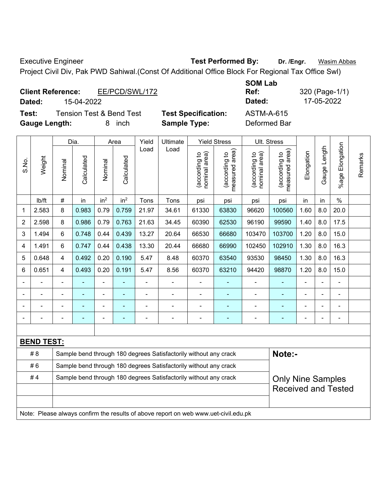Executive Engineer **Test Performed By:** Dr. /Engr. **Wasim Abbas** Project Civil Div, Pak PWD Sahiwal.(Const Of Additional Office Block For Regional Tax Office Swl)

**Ref:** 320 (Page-1/1)

| <b>Client Reference:</b><br>15-04-2022<br>Dated:                     | EE/PCD/SWL/172 |                                                   | <b>SOM Lab</b><br>Ref:<br>Dated:  | 320 (Page-1/<br>17-05-2022 |
|----------------------------------------------------------------------|----------------|---------------------------------------------------|-----------------------------------|----------------------------|
| Test:<br><b>Tension Test &amp; Bend Test</b><br><b>Gauge Length:</b> | inch<br>8      | <b>Test Specification:</b><br><b>Sample Type:</b> | <b>ASTM-A-615</b><br>Deformed Bar |                            |

|                |                   |                                                                                              | Dia.       |                 | Area            | Yield | Ultimate                                                                            |                                | <b>Yield Stress</b>             | Ult. Stress                    |                                 |                |              |                       |         |
|----------------|-------------------|----------------------------------------------------------------------------------------------|------------|-----------------|-----------------|-------|-------------------------------------------------------------------------------------|--------------------------------|---------------------------------|--------------------------------|---------------------------------|----------------|--------------|-----------------------|---------|
| S.No.          | Weight            | Nominal                                                                                      | Calculated | Nominal         | Calculated      | Load  | Load                                                                                | nominal area)<br>(according to | (according to<br>measured area) | (according to<br>nominal area) | measured area)<br>(according to | Elongation     | Gauge Length | Elongation<br>$%$ age | Remarks |
|                | lb/ft             | $\#$                                                                                         | in         | in <sup>2</sup> | in <sup>2</sup> | Tons  | Tons                                                                                | psi                            | psi                             | psi                            | psi                             | in             | in           | $\%$                  |         |
| 1              | 2.583             | 8                                                                                            | 0.983      | 0.79            | 0.759           | 21.97 | 34.61                                                                               | 61330                          | 63830                           | 96620                          | 100560                          | 1.60           | 8.0          | 20.0                  |         |
| $\overline{2}$ | 2.598             | 8                                                                                            | 0.986      | 0.79            | 0.763           | 21.63 | 34.45                                                                               | 60390                          | 62530                           | 96190                          | 99590                           | 1.40           | 8.0          | 17.5                  |         |
| 3              | 1.494             | 6                                                                                            | 0.748      | 0.44            | 0.439           | 13.27 | 20.64                                                                               | 66530                          | 66680                           | 103470                         | 103700                          | 1.20           | 8.0          | 15.0                  |         |
| 4              | 1.491             | 6                                                                                            | 0.747      | 0.44            | 0.438           | 13.30 | 20.44                                                                               | 66680                          | 66990                           | 102450                         | 102910                          | 1.30           | 8.0          | 16.3                  |         |
| 5              | 0.648             | 4                                                                                            | 0.492      | 0.20            | 0.190           | 5.47  | 8.48                                                                                | 60370                          | 63540                           | 93530                          | 98450                           | 1.30           | 8.0          | 16.3                  |         |
| 6              | 0.651             | 4                                                                                            | 0.493      | 0.20            | 0.191           | 5.47  | 8.56                                                                                | 60370                          | 63210                           | 94420                          | 98870                           | 1.20           | 8.0          | 15.0                  |         |
|                |                   | L,                                                                                           | ÷          | ÷,              |                 | L,    | ä,                                                                                  |                                |                                 | $\blacksquare$                 | ÷,                              | $\blacksquare$ |              | ä,                    |         |
|                |                   |                                                                                              | ÷          | $\blacksquare$  |                 | L,    | ÷.                                                                                  |                                |                                 | ä,                             | ÷                               |                |              | ÷                     |         |
|                |                   |                                                                                              |            |                 |                 |       |                                                                                     |                                |                                 |                                | ۰                               |                |              |                       |         |
|                |                   |                                                                                              |            | ۰               |                 |       | $\blacksquare$                                                                      |                                |                                 | ÷                              |                                 |                |              |                       |         |
|                |                   |                                                                                              |            |                 |                 |       |                                                                                     |                                |                                 |                                |                                 |                |              |                       |         |
|                | <b>BEND TEST:</b> |                                                                                              |            |                 |                 |       |                                                                                     |                                |                                 |                                |                                 |                |              |                       |         |
|                | # 8               |                                                                                              |            |                 |                 |       | Sample bend through 180 degrees Satisfactorily without any crack                    |                                |                                 |                                | Note:-                          |                |              |                       |         |
|                | #6                | Sample bend through 180 degrees Satisfactorily without any crack                             |            |                 |                 |       |                                                                                     |                                |                                 |                                |                                 |                |              |                       |         |
|                | #4                | Sample bend through 180 degrees Satisfactorily without any crack<br><b>Only Nine Samples</b> |            |                 |                 |       |                                                                                     |                                |                                 |                                |                                 |                |              |                       |         |
|                |                   |                                                                                              |            |                 |                 |       |                                                                                     |                                |                                 |                                | <b>Received and Tested</b>      |                |              |                       |         |
|                |                   |                                                                                              |            |                 |                 |       |                                                                                     |                                |                                 |                                |                                 |                |              |                       |         |
|                |                   |                                                                                              |            |                 |                 |       | Note: Please always confirm the results of above report on web www.uet-civil.edu.pk |                                |                                 |                                |                                 |                |              |                       |         |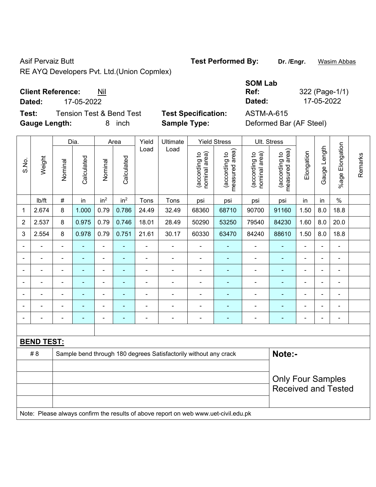RE AYQ Developers Pvt. Ltd.(Union Copmlex)

## **Client Reference:** Nil

**Dated:** 17-05-2022 **Dated:** 17-05-2022

**Test:** Tension Test & Bend Test **Test Specification:** ASTM-A-615 **Gauge Length:** 8 inch **Sample Type:** Deformed Bar (AF Steel)

Dia. | Area | Yield | Ultimate | Yield Stress | Ult. Stress %age Elongation %age Elongation Gauge Length Load Load Gauge Length (according to<br>measured area) measured area) (according to<br>measured area) measured area) (according to<br>nominal area) (according to<br>nominal area) **Elongation** nominal area) nominal area) Elongation (according to (according to (according to (according to Remarks Remarks **Calculated Calculated** Weight Calculated Calculated S.No. Nominal Nominal Vominal Vominal <code>ib/ft | # |</code> in <code>|</code> in $^2$  | in $^2$  | Tons | Tons | psi | psi | psi | psi | in | in | % 1 | 2.674 | 8 | 1.000 | 0.79 | 0.786 | 24.49 | 32.49 | 68360 | 68710 | 90700 | 91160 | 1.50 | 8.0 | 18.8 2 | 2.537 | 8 | 0.975 | 0.79 | 0.746 | 18.01 | 28.49 | 50290 | 53250 | 79540 | 84230 | 1.60 | 8.0 | 20.0 3 | 2.554 | 8 | 0.978 | 0.79 | 0.751 | 21.61 | 30.17 | 60330 | 63470 | 84240 | 88610 | 1.50 | 8.0 | 18.8 - - - - - - - - - - - - - - - - - - - - - - - - - - - - - - - - - - - - - - - - - - - - - - - - - - - - - - - - - - - - - - - - - - - - - - - - - - - - - - - - - - - - - - - - - - - - - - - - - - - - - - - - - **BEND TEST:**  #8 Sample bend through 180 degrees Satisfactorily without any crack **Note:**-Only Four Samples Received and Tested Note: Please always confirm the results of above report on web www.uet-civil.edu.pk

Asif Pervaiz Butt **Test Performed By:** Dr. /Engr. Wasim Abbas

## **SOM Lab**



**Ref:** 322 (Page-1/1)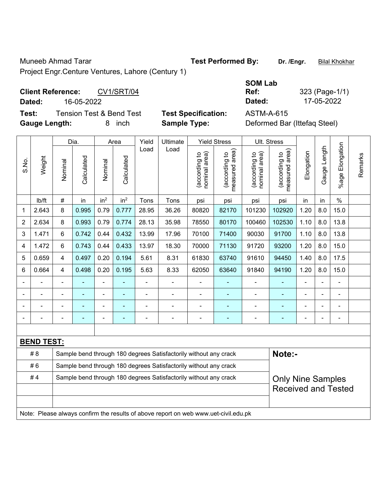Muneeb Ahmad Tarar **Test Performed By:** Dr. /Engr. **Bilal Khokhar** Bur. *I*ndeb Ahmad Tarar **Bilal Khokhar** Project Engr.Centure Ventures, Lahore (Century 1)

## Client Reference: CV1/SRT/04

**Dated:** 16-05-2022 **Dated:** 17-05-2022

**Test:** Tension Test & Bend Test **Test Specification:** ASTM-A-615 **Gauge Length:** 8 inch **Sample Type:** Deformed Bar (Ittefaq Steel)

|                |                                                                                     |                                                                                              | Dia.           |                 | Area            | Yield | Ultimate                                                         |                                | <b>Yield Stress</b>                         | Ult. Stress                   |                                             |                |                          |                       |         |
|----------------|-------------------------------------------------------------------------------------|----------------------------------------------------------------------------------------------|----------------|-----------------|-----------------|-------|------------------------------------------------------------------|--------------------------------|---------------------------------------------|-------------------------------|---------------------------------------------|----------------|--------------------------|-----------------------|---------|
| S.No.          | Weight                                                                              | Nominal                                                                                      | Calculated     | Nominal         | Calculated      | Load  | Load                                                             | nominal area)<br>(according to | (according to<br>neasured area)<br>measured | nominal area)<br>according to | (according to<br>neasured area)<br>measured | Elongation     | Gauge Length             | Elongation<br>$%$ age | Remarks |
|                | Ib/ft                                                                               | #                                                                                            | in             | in <sup>2</sup> | in <sup>2</sup> | Tons  | Tons                                                             | psi                            | psi                                         | psi                           | psi                                         | in             | in                       | $\frac{0}{0}$         |         |
| $\mathbf{1}$   | 2.643                                                                               | 8                                                                                            | 0.995          | 0.79            | 0.777           | 28.95 | 36.26                                                            | 80820                          | 82170                                       | 101230                        | 102920                                      | 1.20           | 8.0                      | 15.0                  |         |
| $\overline{2}$ | 2.634                                                                               | 8                                                                                            | 0.993          | 0.79            | 0.774           | 28.13 | 35.98                                                            | 78550                          | 80170                                       | 100460                        | 102530                                      | 1.10           | 8.0                      | 13.8                  |         |
| 3              | 1.471                                                                               | 6                                                                                            | 0.742          | 0.44            | 0.432           | 13.99 | 17.96                                                            | 70100                          | 71400                                       | 90030                         | 91700                                       | 1.10           | 8.0                      | 13.8                  |         |
| 4              | 1.472                                                                               | 6                                                                                            | 0.743          | 0.44            | 0.433           | 13.97 | 18.30                                                            | 70000                          | 71130                                       | 91720                         | 93200                                       | 1.20           | 8.0                      | 15.0                  |         |
| 5              | 0.659                                                                               | 4                                                                                            | 0.497          | 0.20            | 0.194           | 5.61  | 8.31                                                             | 61830                          | 63740                                       | 91610                         | 94450                                       | 1.40           | 8.0                      | 17.5                  |         |
| 6              | 0.664                                                                               | 4                                                                                            | 0.498          | 0.20            | 0.195           | 5.63  | 8.33                                                             | 62050                          | 63640                                       | 91840                         | 94190                                       | 1.20           | 8.0                      | 15.0                  |         |
|                |                                                                                     | $\blacksquare$                                                                               |                | ä,              | ÷,              | L,    | ä,                                                               |                                | ٠                                           | ÷,                            | ÷                                           | $\blacksquare$ |                          | $\blacksquare$        |         |
|                |                                                                                     |                                                                                              |                | ۰               |                 |       |                                                                  |                                |                                             |                               |                                             |                |                          |                       |         |
|                |                                                                                     |                                                                                              |                |                 |                 |       |                                                                  |                                |                                             |                               |                                             |                |                          |                       |         |
|                |                                                                                     | $\blacksquare$                                                                               | $\blacksquare$ | ÷               | ۰               |       | $\blacksquare$                                                   | $\blacksquare$                 | ÷                                           |                               | ٠                                           | $\blacksquare$ | $\overline{\phantom{0}}$ | ÷                     |         |
|                |                                                                                     |                                                                                              |                |                 |                 |       |                                                                  |                                |                                             |                               |                                             |                |                          |                       |         |
|                | <b>BEND TEST:</b>                                                                   |                                                                                              |                |                 |                 |       |                                                                  |                                |                                             |                               |                                             |                |                          |                       |         |
|                | # 8                                                                                 |                                                                                              |                |                 |                 |       | Sample bend through 180 degrees Satisfactorily without any crack |                                |                                             |                               | Note:-                                      |                |                          |                       |         |
|                | #6                                                                                  |                                                                                              |                |                 |                 |       | Sample bend through 180 degrees Satisfactorily without any crack |                                |                                             |                               |                                             |                |                          |                       |         |
|                | #4                                                                                  | Sample bend through 180 degrees Satisfactorily without any crack<br><b>Only Nine Samples</b> |                |                 |                 |       |                                                                  |                                |                                             |                               |                                             |                |                          |                       |         |
|                |                                                                                     |                                                                                              |                |                 |                 |       |                                                                  |                                |                                             |                               | <b>Received and Tested</b>                  |                |                          |                       |         |
|                |                                                                                     |                                                                                              |                |                 |                 |       |                                                                  |                                |                                             |                               |                                             |                |                          |                       |         |
|                | Note: Please always confirm the results of above report on web www.uet-civil.edu.pk |                                                                                              |                |                 |                 |       |                                                                  |                                |                                             |                               |                                             |                |                          |                       |         |

**SOM Lab Ref:** 323 (Page-1/1)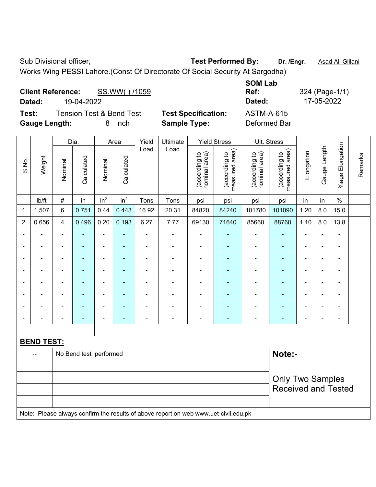Works Wing PESSI Lahore.(Const Of Directorate Of Social Security At Sargodha)

|                      | <b>Client Reference:</b> | SS.WW()/1059                        |                            | <b>SUM LAD</b><br>Ref: |
|----------------------|--------------------------|-------------------------------------|----------------------------|------------------------|
| Dated:               | 19-04-2022               |                                     |                            | Dated:                 |
| Test:                |                          | <b>Tension Test &amp; Bend Test</b> | <b>Test Specification:</b> | <b>ASTM-A-615</b>      |
| <b>Gauge Length:</b> |                          | inch<br>8                           | <b>Sample Type:</b>        | Deformed Bar           |

|                                                                                     |                          | Dia.                    |                | Area                     |                            | Yield          | Ultimate                 | <b>Yield Stress</b>            |                                 | Ult. Stress                    |                                 |                |                |                              |         |
|-------------------------------------------------------------------------------------|--------------------------|-------------------------|----------------|--------------------------|----------------------------|----------------|--------------------------|--------------------------------|---------------------------------|--------------------------------|---------------------------------|----------------|----------------|------------------------------|---------|
| S.No.                                                                               | Weight                   | Nominal                 | Calculated     | Nominal                  | Calculated                 | Load           | Load                     | nominal area)<br>(according to | measured area)<br>(according to | nominal area)<br>(according to | measured area)<br>(according to | Elongation     | Gauge Length   | %age Elongation              | Remarks |
|                                                                                     | Ib/ft                    | $\#$                    | in             | in <sup>2</sup>          | in <sup>2</sup>            | Tons           | Tons                     | psi                            | psi                             | psi                            | psi                             | in             | in             | $\%$                         |         |
| 1                                                                                   | 1.507                    | 6                       | 0.751          | 0.44                     | 0.443                      | 16.92          | 20.31                    | 84820                          | 84240                           | 101780                         | 101090                          | 1.20           | 8.0            | 15.0                         |         |
| $\overline{2}$                                                                      | 0.656                    | $\overline{\mathbf{4}}$ | 0.496          | 0.20                     | 0.193                      | 6.27           | 7.77                     | 69130                          | 71640                           | 85660                          | 88760                           | 1.10           | 8.0            | 13.8                         |         |
|                                                                                     |                          | $\blacksquare$          | ä,             | $\blacksquare$           | $\blacksquare$             | ÷,             | $\blacksquare$           | $\blacksquare$                 |                                 | $\blacksquare$                 | ÷                               | $\blacksquare$ | $\blacksquare$ | ÷,                           |         |
|                                                                                     |                          |                         | ä,             | $\blacksquare$           | $\overline{\phantom{a}}$   | ÷              | $\blacksquare$           | $\blacksquare$                 | $\blacksquare$                  | $\blacksquare$                 | $\blacksquare$                  | $\blacksquare$ | $\blacksquare$ | $\blacksquare$               |         |
|                                                                                     |                          |                         | ٠              | ÷                        |                            |                | $\blacksquare$           |                                |                                 |                                | ä,                              | $\blacksquare$ | ÷              | $\blacksquare$               |         |
|                                                                                     |                          |                         | $\blacksquare$ | $\overline{\phantom{a}}$ |                            | $\blacksquare$ | $\overline{\phantom{a}}$ | $\blacksquare$                 |                                 | Ē,                             | ÷                               | $\blacksquare$ | ÷              | $\blacksquare$               |         |
| $\blacksquare$                                                                      | $\blacksquare$           | $\blacksquare$          | $\blacksquare$ | ÷                        | $\overline{\phantom{a}}$   | L,             | $\blacksquare$           | $\blacksquare$                 | $\blacksquare$                  | $\blacksquare$                 | ٠                               | $\blacksquare$ | $\blacksquare$ | ÷,                           |         |
|                                                                                     |                          | $\blacksquare$          | ä,             | $\blacksquare$           | ٠                          | $\overline{a}$ | ÷,                       | $\blacksquare$                 |                                 | L,                             | $\blacksquare$                  | $\blacksquare$ | $\blacksquare$ | $\qquad \qquad \blacksquare$ |         |
|                                                                                     | $\blacksquare$           | $\blacksquare$          | $\blacksquare$ | $\blacksquare$           | $\overline{\phantom{a}}$   | L,             | $\frac{1}{2}$            | $\blacksquare$                 | $\blacksquare$                  | $\blacksquare$                 | ÷                               | $\blacksquare$ | $\blacksquare$ | $\blacksquare$               |         |
|                                                                                     |                          | $\blacksquare$          | $\blacksquare$ | $\overline{a}$           | $\overline{\phantom{a}}$   | L,             | ä,                       |                                | $\blacksquare$                  | L,                             | ÷                               | $\blacksquare$ | ÷              | $\qquad \qquad \blacksquare$ |         |
|                                                                                     |                          |                         |                |                          |                            |                |                          |                                |                                 |                                |                                 |                |                |                              |         |
|                                                                                     | <b>BEND TEST:</b>        |                         |                |                          |                            |                |                          |                                |                                 |                                |                                 |                |                |                              |         |
|                                                                                     | $\overline{\phantom{a}}$ | No Bend test performed  |                |                          |                            |                |                          |                                |                                 | Note:-                         |                                 |                |                |                              |         |
|                                                                                     |                          |                         |                |                          |                            |                |                          |                                |                                 |                                |                                 |                |                |                              |         |
|                                                                                     | <b>Only Two Samples</b>  |                         |                |                          |                            |                |                          |                                |                                 |                                |                                 |                |                |                              |         |
|                                                                                     |                          |                         |                |                          | <b>Received and Tested</b> |                |                          |                                |                                 |                                |                                 |                |                |                              |         |
|                                                                                     |                          |                         |                |                          |                            |                |                          |                                |                                 |                                |                                 |                |                |                              |         |
| Note: Please always confirm the results of above report on web www.uet-civil.edu.pk |                          |                         |                |                          |                            |                |                          |                                |                                 |                                |                                 |                |                |                              |         |

**SOM Lab** 

**Ref:** 324 (Page-1/1) **Dated:** 19-04-2022 **Dated:** 17-05-2022